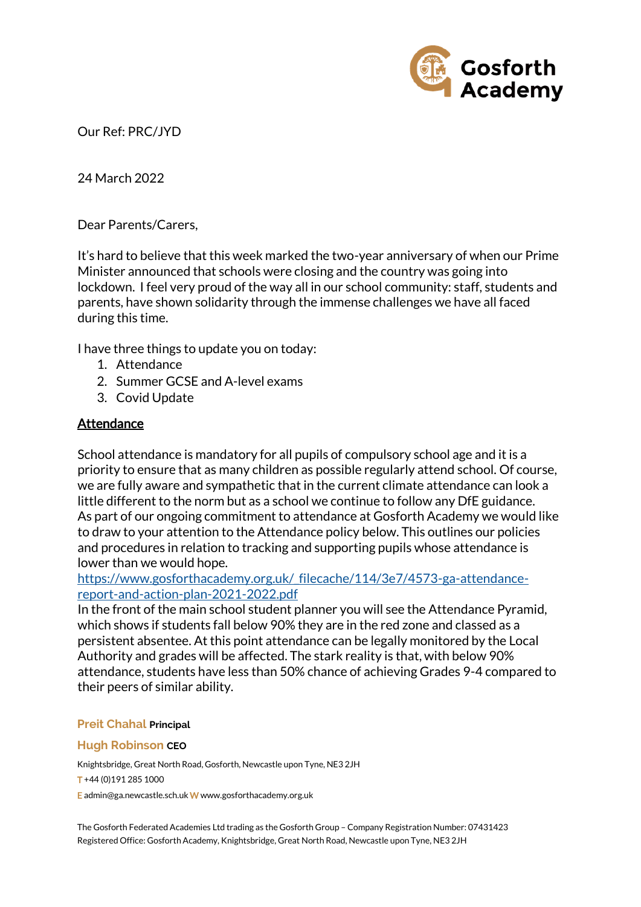

Our Ref: PRC/JYD

24 March 2022

Dear Parents/Carers,

It's hard to believe that this week marked the two-year anniversary of when our Prime Minister announced that schools were closing and the country was going into lockdown. I feel very proud of the way all in our school community: staff, students and parents, have shown solidarity through the immense challenges we have all faced during this time.

I have three things to update you on today:

- 1. Attendance
- 2. Summer GCSE and A-level exams
- 3. Covid Update

### Attendance

School attendance is mandatory for all pupils of compulsory school age and it is a priority to ensure that as many children as possible regularly attend school. Of course, we are fully aware and sympathetic that in the current climate attendance can look a little different to the norm but as a school we continue to follow any DfE guidance. As part of our ongoing commitment to attendance at Gosforth Academy we would like to draw to your attention to the Attendance policy below. This outlines our policies and procedures in relation to tracking and supporting pupils whose attendance is lower than we would hope.

[https://www.gosforthacademy.org.uk/\\_filecache/114/3e7/4573-ga-attendance](https://www.gosforthacademy.org.uk/_filecache/114/3e7/4573-ga-attendance-report-and-action-plan-2021-2022.pdf)[report-and-action-plan-2021-2022.pdf](https://www.gosforthacademy.org.uk/_filecache/114/3e7/4573-ga-attendance-report-and-action-plan-2021-2022.pdf)

In the front of the main school student planner you will see the Attendance Pyramid, which shows if students fall below 90% they are in the red zone and classed as a persistent absentee. At this point attendance can be legally monitored by the Local Authority and grades will be affected. The stark reality is that, with below 90% attendance, students have less than 50% chance of achieving Grades 9-4 compared to their peers of similar ability.

#### **Preit Chahal Principal**

#### **Hugh Robinson CEO**

Knightsbridge, Great North Road, Gosforth, Newcastle upon Tyne, NE3 2JH T +44 (0)191 285 1000

E admin@ga.newcastle.sch.uk W [www.gosforthacademy.org.uk](http://www.gosforthacademy.org.uk/)

The Gosforth Federated Academies Ltd trading as the Gosforth Group – Company Registration Number: 07431423 Registered Office: Gosforth Academy, Knightsbridge, Great North Road, Newcastle upon Tyne, NE3 2JH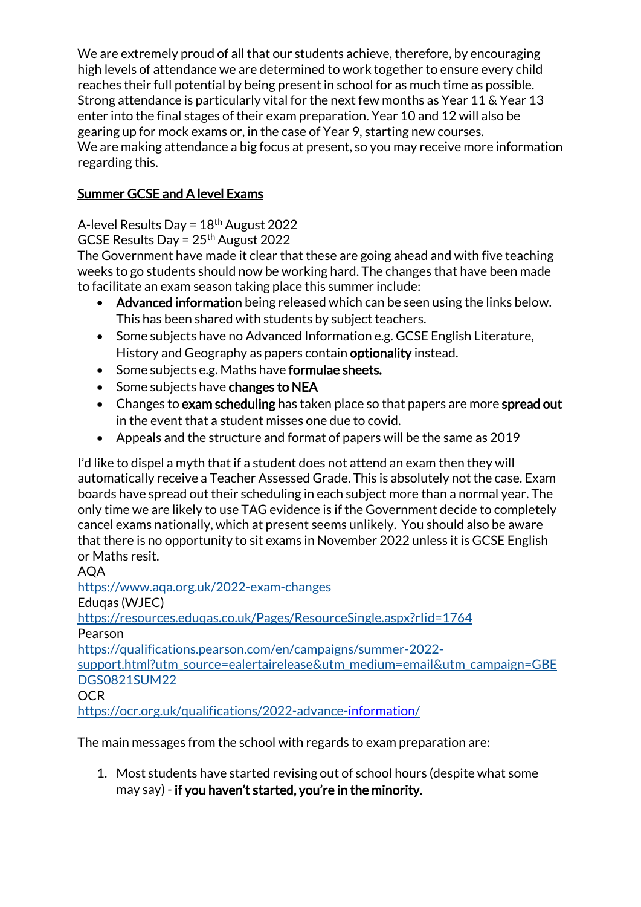We are extremely proud of all that our students achieve, therefore, by encouraging high levels of attendance we are determined to work together to ensure every child reaches their full potential by being present in school for as much time as possible. Strong attendance is particularly vital for the next few months as Year 11 & Year 13 enter into the final stages of their exam preparation. Year 10 and 12 will also be gearing up for mock exams or, in the case of Year 9, starting new courses. We are making attendance a big focus at present, so you may receive more information regarding this.

# Summer GCSE and A level Exams

A-level Results Day = 18th August 2022

GCSE Results Day =  $25<sup>th</sup>$  August 2022

The Government have made it clear that these are going ahead and with five teaching weeks to go students should now be working hard. The changes that have been made to facilitate an exam season taking place this summer include:

- Advanced information being released which can be seen using the links below. This has been shared with students by subject teachers.
- Some subjects have no Advanced Information e.g. GCSE English Literature, History and Geography as papers contain optionality instead.
- Some subjects e.g. Maths have formulae sheets.
- Some subjects have changes to NEA
- Changes to exam scheduling has taken place so that papers are more spread out in the event that a student misses one due to covid.
- Appeals and the structure and format of papers will be the same as 2019

I'd like to dispel a myth that if a student does not attend an exam then they will automatically receive a Teacher Assessed Grade. This is absolutely not the case. Exam boards have spread out their scheduling in each subject more than a normal year. The only time we are likely to use TAG evidence is if the Government decide to completely cancel exams nationally, which at present seems unlikely. You should also be aware that there is no opportunity to sit exams in November 2022 unless it is GCSE English or Maths resit.

### AQA <https://www.aqa.org.uk/2022-exam-changes> Eduqas (WJEC) <https://resources.eduqas.co.uk/Pages/ResourceSingle.aspx?rIid=1764> Pearson [https://qualifications.pearson.com/en/campaigns/summer-2022](https://qualifications.pearson.com/en/campaigns/summer-2022-support.html?utm_source=ealertairelease&utm_medium=email&utm_campaign=GBEDGS0821SUM22) [support.html?utm\\_source=ealertairelease&utm\\_medium=email&utm\\_campaign=GBE](https://qualifications.pearson.com/en/campaigns/summer-2022-support.html?utm_source=ealertairelease&utm_medium=email&utm_campaign=GBEDGS0821SUM22) [DGS0821SUM22](https://qualifications.pearson.com/en/campaigns/summer-2022-support.html?utm_source=ealertairelease&utm_medium=email&utm_campaign=GBEDGS0821SUM22) **OCR**

<https://ocr.org.uk/qualifications/2022-advance-information/>

The main messages from the school with regards to exam preparation are:

1. Most students have started revising out of school hours (despite what some may say) - if you haven't started, you're in the minority.